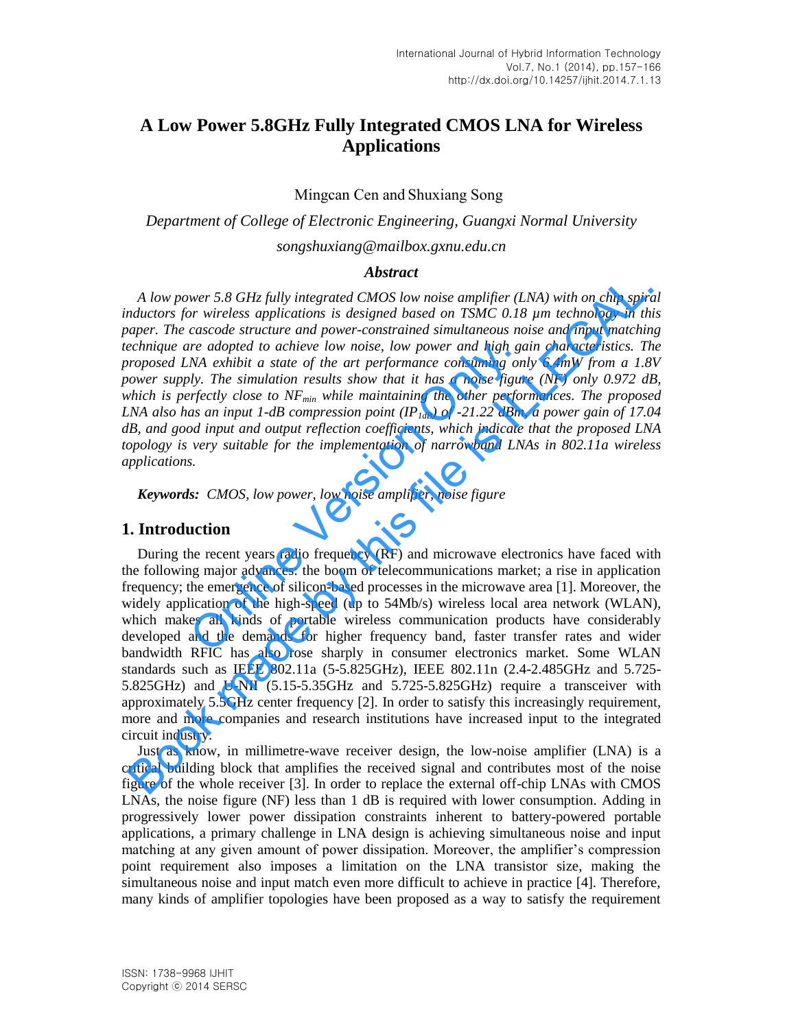# **A Low Power 5.8GHz Fully Integrated CMOS LNA for Wireless Applications**

Mingcan Cen and Shuxiang Song

*Department of College of Electronic Engineering, Guangxi Normal University songshuxiang@mailbox.gxnu.edu.cn*

### *Abstract*

*A low power 5.8 GHz fully integrated CMOS low noise amplifier (LNA) with on chip spiral inductors for wireless applications is designed based on TSMC 0.18 µm technology in this paper. The cascode structure and power-constrained simultaneous noise and input matching technique are adopted to achieve low noise, low power and high gain characteristics. The proposed LNA exhibit a state of the art performance consuming only 6.4mW from a 1.8V power supply. The simulation results show that it has a noise figure (NF) only 0.972 dB, which is perfectly close to NFmin while maintaining the other performances. The proposed LNA also has an input 1-dB compression point (IP1dB) of -21.22 dBm, a power gain of 17.04 dB, and good input and output reflection coefficients, which indicate that the proposed LNA topology is very suitable for the implementation of narrowband LNAs in 802.11a wireless applications.*  The adopted to achieve low noise, low power and high gand<br>
NA exhibit a state of the art performance consuming on<br>
Uy. The simulation results show that it has a noise figure<br>
reflectly close to NF<sub>min</sub> while maintaining t

*Keywords: CMOS, low power, low noise amplifier, noise figure* 

### **1. Introduction**

During the recent years radio frequency (RF) and microwave electronics have faced with the following major advances: the boom of telecommunications market; a rise in application frequency; the emergence of silicon-based processes in the microwave area [1]. Moreover, the widely application of the high-speed (up to 54Mb/s) wireless local area network (WLAN), which makes all kinds of portable wireless communication products have considerably developed and the demands for higher frequency band, faster transfer rates and wider bandwidth RFIC has also rose sharply in consumer electronics market. Some WLAN standards such as IEEE 802.11a (5-5.825GHz), IEEE 802.11n (2.4-2.485GHz and 5.725- 5.825GHz) and U-NII (5.15-5.35GHz and 5.725-5.825GHz) require a transceiver with approximately 5.5GHz center frequency [2]. In order to satisfy this increasingly requirement, more and more companies and research institutions have increased input to the integrated circuit industry. A low power 5.8 GHz fully integrated CMOS low noise amplifier (LNA) with on chip spiral corons for wireless applications is designed based on TSMC 0.18 µm technology in the corons and power constrained simulations in the

Just as know, in millimetre-wave receiver design, the low-noise amplifier (LNA) is a critical building block that amplifies the received signal and contributes most of the noise figure of the whole receiver [3]. In order to replace the external off-chip LNAs with CMOS LNAs, the noise figure (NF) less than 1 dB is required with lower consumption. Adding in progressively lower power dissipation constraints inherent to battery-powered portable applications, a primary challenge in LNA design is achieving simultaneous noise and input matching at any given amount of power dissipation. Moreover, the amplifier's compression point requirement also imposes a limitation on the LNA transistor size, making the simultaneous noise and input match even more difficult to achieve in practice [4]. Therefore, many kinds of amplifier topologies have been proposed as a way to satisfy the requirement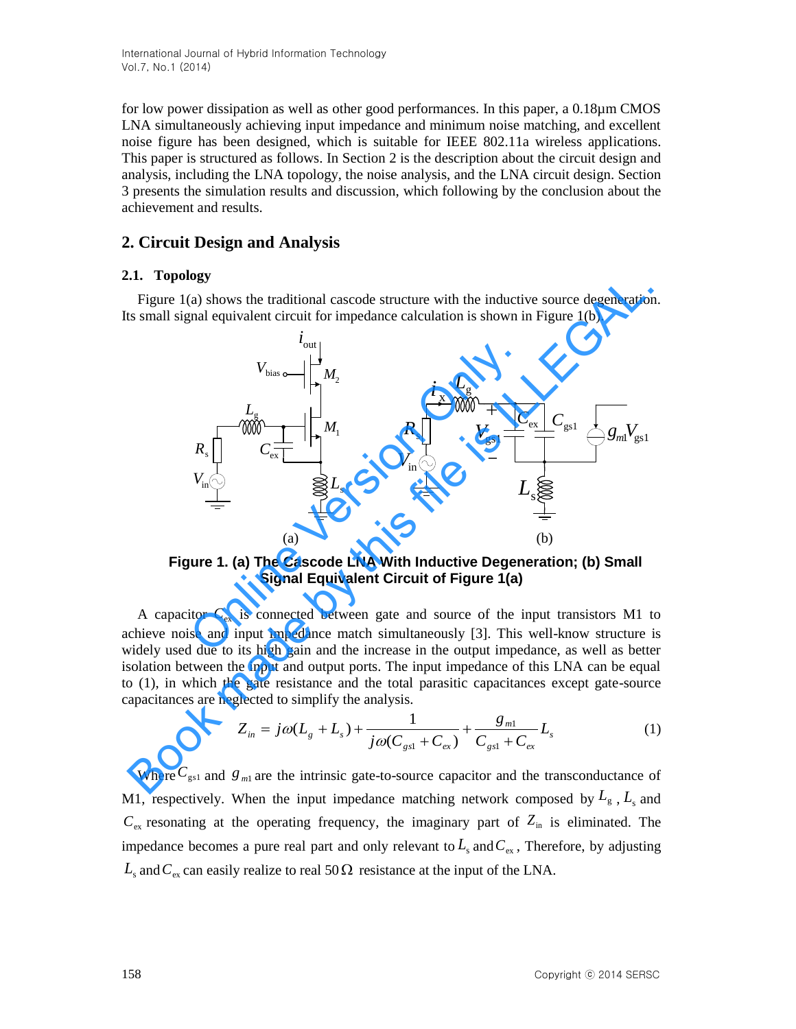International Journal of Hybrid Information Technology Vol.7, No.1 (2014)

for low power dissipation as well as other good performances. In this paper, a 0.18µm CMOS LNA simultaneously achieving input impedance and minimum noise matching, and excellent noise figure has been designed, which is suitable for IEEE 802.11a wireless applications. This paper is structured as follows. In Section 2 is the description about the circuit design and analysis, including the LNA topology, the noise analysis, and the LNA circuit design. Section 3 presents the simulation results and discussion, which following by the conclusion about the achievement and results.

### **2. Circuit Design and Analysis**

### **2.1. Topology**

Figure 1(a) shows the traditional cascode structure with the inductive source degeneration. Its small signal equivalent circuit for impedance calculation is shown in Figure 1(b).



**Figure 1. (a) The Cascode LNA With Inductive Degeneration; (b) Small Signal Equivalent Circuit of Figure 1(a)** 

A capacitor  $C_{\text{ex}}$  is connected between gate and source of the input transistors M1 to achieve noise and input impedance match simultaneously [3]. This well-know structure is widely used due to its high gain and the increase in the output impedance, as well as better isolation between the input and output ports. The input impedance of this LNA can be equal to (1), in which the gate resistance and the total parasitic capacitances except gate-source capacitances are neglected to simplify the analysis.

$$
Z_{in} = j\omega(L_{g} + L_{s}) + \frac{1}{j\omega(C_{gs1} + C_{ex})} + \frac{g_{m1}}{C_{gs1} + C_{ex}}L_{s}
$$
(1)

Where  $C_{gs1}$  and  $g_{m1}$  are the intrinsic gate-to-source capacitor and the transconductance of M1, respectively. When the input impedance matching network composed by  $L_{g}$ ,  $L_{s}$  and  $C_{\text{ex}}$  resonating at the operating frequency, the imaginary part of  $Z_{\text{in}}$  is eliminated. The impedance becomes a pure real part and only relevant to  $L_s$  and  $C_{ex}$ , Therefore, by adjusting  $L<sub>s</sub>$  and  $C<sub>ex</sub>$  can easily realize to real 50  $\Omega$  resistance at the input of the LNA.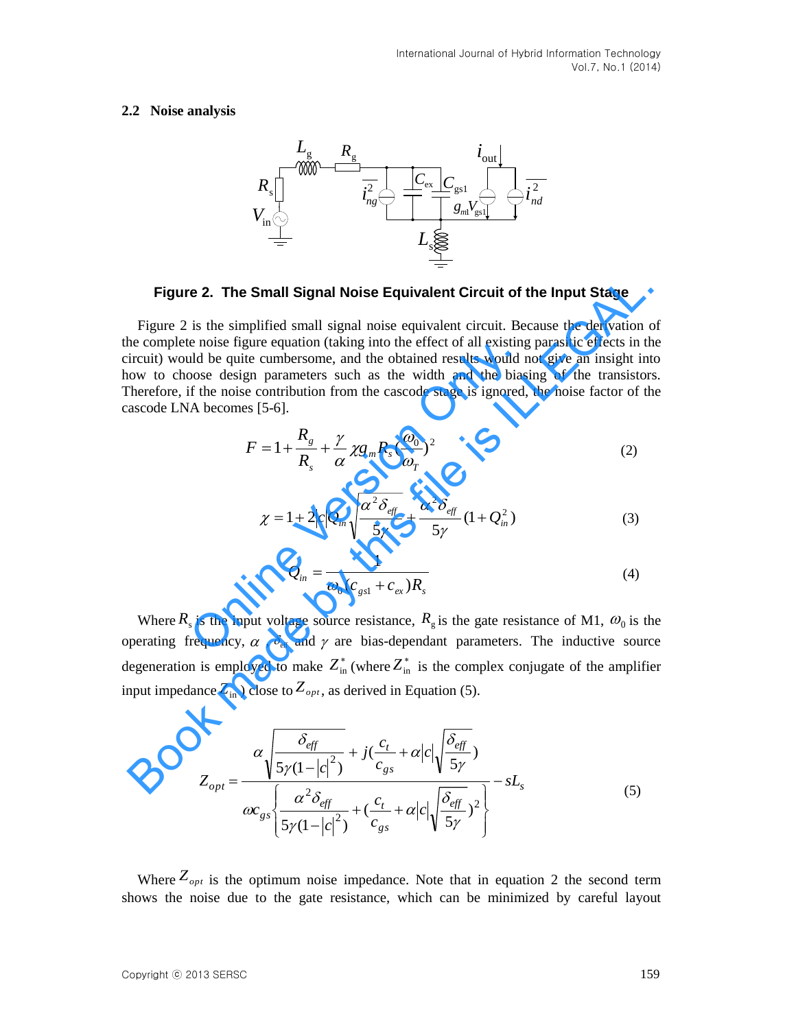#### **2.2 Noise analysis**



**Figure 2. The Small Signal Noise Equivalent Circuit of the Input Stage** 

Figure 2 is the simplified small signal noise equivalent circuit. Because the derivation of the complete noise figure equation (taking into the effect of all existing parasitic effects in the circuit) would be quite cumbersome, and the obtained results would not give an insight into how to choose design parameters such as the width and the biasing of the transistors. Therefore, if the noise contribution from the cascode stage is ignored, the noise factor of the cascode LNA becomes [5-6]. increase the interest of an existing<br>
and be quite cumbersome, and the obtained results would if<br>
the noise contribution from the cascode stage is ignored,<br>
A becomes [5-6].<br>  $F = 1 + \frac{R_g}{R_s} + \frac{\gamma}{\alpha} \chi g_m R_s (\frac{\omega_0}{\omega_T})^2$ <br> **Figure 2. The Small Signal Noise Equivalent Circuit of the Input Stage**<br>
Figure 2 is the simplified small signal noise equivalent circuit. Because the derivation complete noise figure equation (taking into the effect of

$$
F = 1 + \frac{R_g}{R_s} + \frac{\gamma}{\alpha} \chi g_m R_s \left(\frac{\omega_0}{\omega_T}\right)^2 \tag{2}
$$

$$
\chi = 1 + 2|c|Q_{in}\sqrt{\frac{\alpha^2 \delta_{\text{eff}}}{5\gamma}} + \frac{\alpha^2 \delta_{\text{eff}}}{5\gamma}(1 + Q_{in}^2)
$$
 (3)

$$
Q_{in} = \frac{1}{\omega_0 (c_{gs1} + c_{ex}) R_s}
$$
 (4)

Where  $R_s$  is the input voltage source resistance,  $R_g$  is the gate resistance of M1,  $\omega_0$  is the operating frequency,  $\alpha$ ,  $\delta_{\text{eff}}$  and  $\gamma$  are bias-dependant parameters. The inductive source degeneration is employed to make  $Z_{\text{in}}^*$  (where  $Z_{\text{in}}^*$  is the complex conjugate of the amplifier input impedance  $Z_{\text{in}}$  ) close to  $Z_{\text{opt}}$ , as derived in Equation (5).

$$
Z_{opt} = \frac{\alpha \sqrt{\frac{\delta_{\text{eff}}}{5\gamma (1-|c|^2)}} + j(\frac{c_t}{c_{gs}} + \alpha |c| \sqrt{\frac{\delta_{\text{eff}}}{5\gamma}})}{\alpha c_{gs} \sqrt{\frac{\alpha^2 \delta_{\text{eff}}}{5\gamma (1-|c|^2)} + (\frac{c_t}{c_{gs}} + \alpha |c| \sqrt{\frac{\delta_{\text{eff}}}{5\gamma}})^2} - sL_s}
$$
(5)

Where  $Z_{opt}$  is the optimum noise impedance. Note that in equation 2 the second term shows the noise due to the gate resistance, which can be minimized by careful layout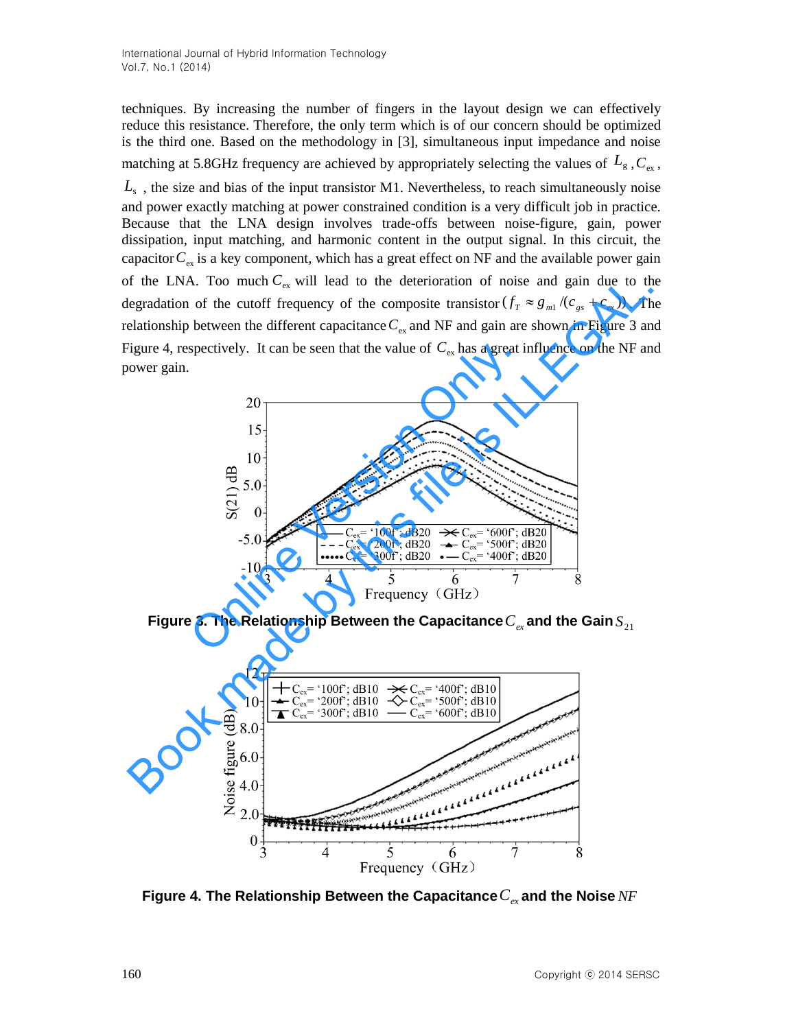techniques. By increasing the number of fingers in the layout design we can effectively reduce this resistance. Therefore, the only term which is of our concern should be optimized is the third one. Based on the methodology in [3], simultaneous input impedance and noise matching at 5.8GHz frequency are achieved by appropriately selecting the values of  $L_{g}$ ,  $C_{ex}$ , *L*s , the size and bias of the input transistor M1. [Nevertheless,](app:ds:nevertheless) to reach simultaneously noise and power exactly matching at power constrained condition is a very difficult job in practice. Because that the LNA design involves trade-offs between noise-figure, gain, power dissipation, input matching, and harmonic content in the output signal. In this circuit, the capacitor  $C_{\text{ex}}$  is a key component, which has a great effect on NF and the available power gain of the LNA. Too much  $C_{\text{ex}}$  will lead to the deterioration of noise and gain due to the degradation of the cutoff frequency of the composite transistor  $(f_T \approx g_{m1}/(c_{gs} + c_{ex}))$ . The relationship between the different capacitance  $C_{\text{ex}}$  and NF and gain are shown in Figure 3 and Figure 4, respectively. It can be seen that the value of  $C_{\text{ex}}$  has a great influence on the NF and power gain.



Figure 3. The Relationship Between the Capacitance  $C_{e\mathrm{x}}$  and the Gain  $S_{\mathrm{21}}$ 



**Figure 4. The Relationship Between the Capacitance** *Cex* **and the Noise** *NF*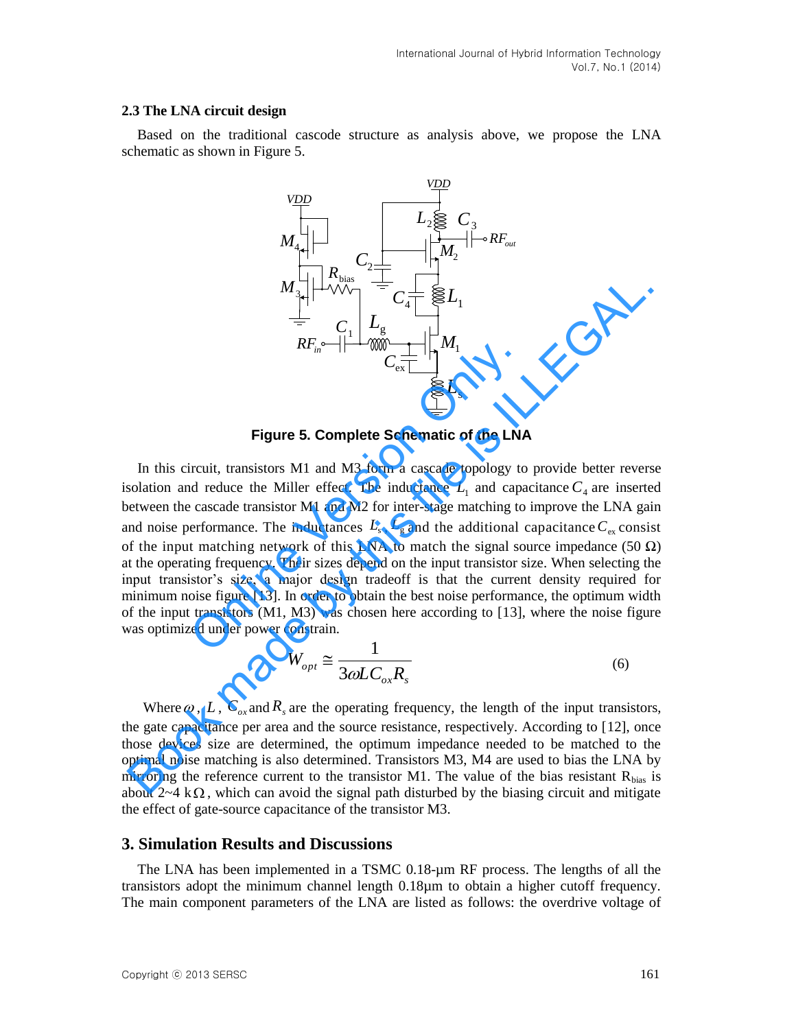#### **2.3 The LNA circuit design**

Based on the traditional cascode structure as analysis above, we propose the LNA schematic as shown in Figure 5.



**Figure 5. Complete Schematic of the LNA** 

In this circuit, transistors M1 and M3 form a cascade topology to provide better reverse isolation and reduce the Miller effect. The inductance  $L<sub>1</sub>$  and capacitance  $C<sub>4</sub>$  are inserted between the cascade transistor M1 and M2 for inter-stage matching to improve the LNA gain and noise performance. The inductances  $L_s$ ,  $L_g$  and the additional capacitance  $C_{ex}$  consist of the input matching network of this LNA to match the signal source impedance (50  $\Omega$ ) at the operating frequency. Their sizes depend on the input transistor size. When selecting the input transistor's size, a major design tradeoff is that the current density required for minimum noise figure [13]. In order to obtain the best noise performance, the optimum width of the input transistors (M1, M3) was chosen here according to [13], where the noise figure was optimized under power constrain. Figure 5. Complete Schematic of the LNA<br>
incuit, transistors M1 and M3 form a cascade topology to<br>
deretic different in a cascade topology to<br>
deretic metallier effect. The inductance  $L_1$  and capa<br>
cascade transistor M1  $M_{3}$   $R_{F_{ik}}$   $\begin{array}{c}\nM_{3} \\
\hline\n\end{array}$   $R_{F_{ik}}$   $\begin{array}{c}\n\downarrow \\
\hline\n\end{array}$   $R_{F_{ik}}$   $\begin{array}{c}\n\downarrow \\
\hline\n\end{array}$   $R_{F_{ik}}$   $\begin{array}{c}\n\downarrow \\
\hline\n\end{array}$   $\begin{array}{c}\n\downarrow \\
\hline\n\end{array}$   $R_{i}$   $\begin{array}{c}\n\downarrow \\
\hline\n\end{array}$   $\begin{array}{c}\n\downarrow \\
\hline\n\end{array}$   $\$ 

$$
W_{opt} \cong \frac{1}{3\omega LC_{ox}R_s}
$$
 (6)

Where  $\omega$ , L,  $C_{ox}$  and  $R_s$  are the operating frequency, the length of the input transistors, the gate capacitance per area and the source resistance, respectively. According to [12], once those devices size are determined, the optimum impedance needed to be matched to the optimal noise matching is also determined. Transistors M3, M4 are used to bias the LNA by mirroring the reference current to the transistor M1. The value of the bias resistant  $R_{bias}$  is about  $2\nu 4$  k $\Omega$ , which can avoid the signal path disturbed by the biasing circuit and mitigate the effect of gate-source capacitance of the transistor M3.

### **3. Simulation Results and Discussions**

The LNA has been implemented in a TSMC 0.18-µm RF process. The lengths of all the transistors adopt the minimum channel length 0.18µm to obtain a higher cutoff frequency. The main component parameters of the LNA are listed as follows: the overdrive voltage of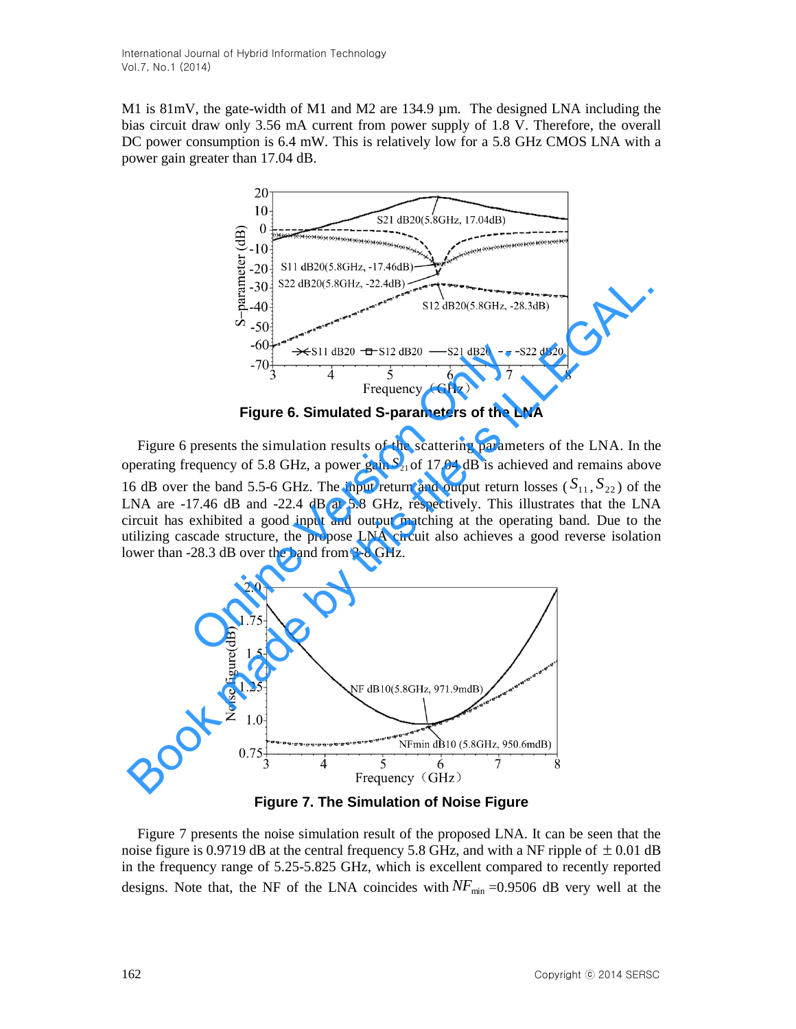M1 is 81mV, the gate-width of M1 and M2 are 134.9 µm. The designed LNA including the bias circuit draw only 3.56 mA current from power supply of 1.8 V. Therefore, the overall DC power consumption is 6.4 mW. This is relatively low for a 5.8 GHz CMOS LNA with a power gain greater than 17.04 dB.



**Figure 6. Simulated S-parameters of the LNA** 

Figure 6 presents the simulation results of the scattering parameters of the LNA. In the operating frequency of 5.8 GHz, a power gain  $S_{21}$  of 17.04 dB is achieved and remains above 16 dB over the band 5.5-6 GHz. The input return and output return losses ( $S_{11}$ ,  $S_{22}$ ) of the LNA are -17.46 dB and -22.4 dB at 5.8 GHz, respectively. This illustrates that the LNA circuit has exhibited a good input and output matching at the operating band. Due to the utilizing cascade structure, the propose LNA circuit also achieves a good reverse isolation lower than -28.3 dB over the band from 3-8 GHz.  $-60\frac{1}{3}$ <br>  $-70\frac{1}{3}$ <br>  $-70\frac{1}{3}$ <br>  $-70\frac{1}{3}$ <br>  $+70\frac{1}{3}$ <br>  $+70\frac{1}{3}$ <br>  $+70\frac{1}{3}$ <br>  $+70\frac{1}{3}$ <br>  $+70\frac{1}{3}$ <br>
Figure 6. Simulated S-parameters of the LN<br>
presents the simulation results of the scattering p



**Figure 7. The Simulation of Noise Figure** 

Figure 7 presents the noise simulation result of the proposed LNA. It can be seen that the noise figure is 0.9719 dB at the central frequency 5.8 GHz, and with a NF ripple of  $\pm$  0.01 dB in the frequency range of 5.25-5.825 GHz, which is excellent compared to recently reported designs. Note that, the NF of the LNA coincides with  $NF_{min} = 0.9506$  dB very well at the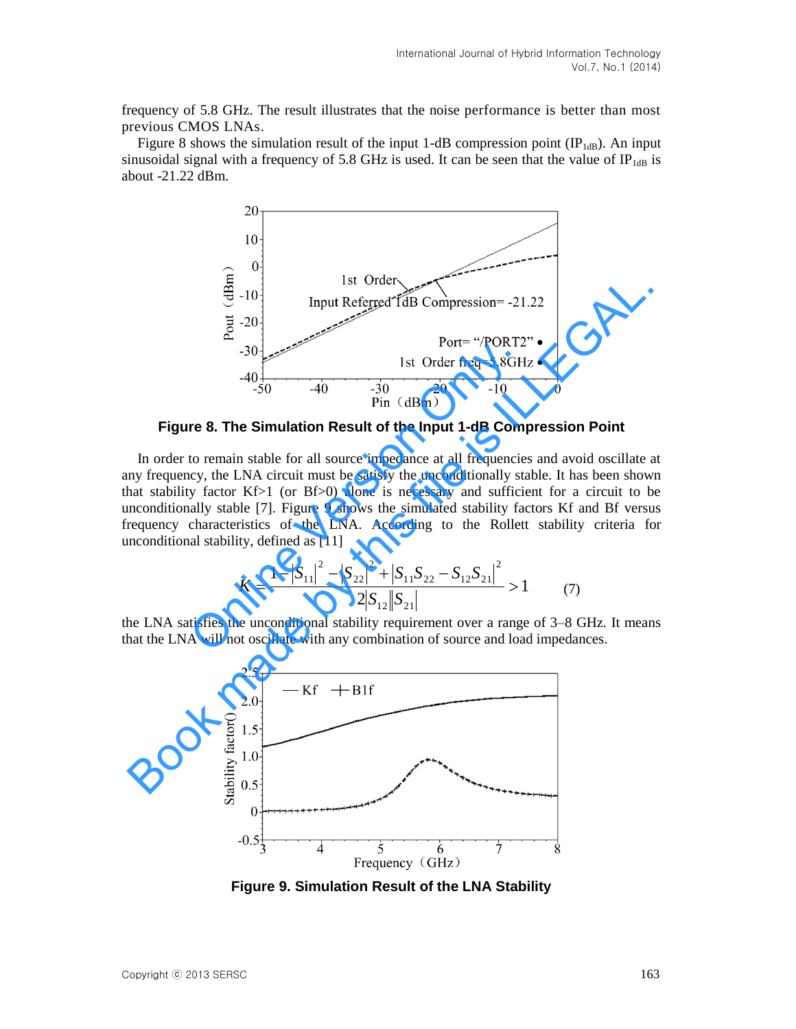frequency of 5.8 GHz. The result illustrates that the noise performance is better than most previous CMOS LNAs.

Figure 8 shows the simulation result of the input 1-dB compression point  $(\mathbb{P}_{1\text{dB}})$ . An input sinusoidal signal with a frequency of 5.8 GHz is used. It can be seen that the value of  $IP_{1dB}$  is about -21.22 dBm.



**Figure 8. The Simulation Result of the Input 1-dB Compression Point** 

In order to remain stable for all source impedance at all frequencies and avoid oscillate at any frequency, the LNA circuit must be satisfy the unconditionally stable. It has been shown that stability factor Kf>1 (or Bf>0) alone is necessary and sufficient for a circuit to be unconditionally stable [7]. Figure 9 shows the simulated stability factors Kf and Bf versus frequency characteristics of the LNA. According to the Rollett stability criteria for unconditional stability, defined as [11] <sup>130</sup><br>
<sup>130</sup><br>
<sup>140</sup><br>
<sup>140</sup><br>
<sup>150</sup><br>
<sup>160</sup><br>
<sup>160</sup><br>
<sup>160</sup><br>
<sup>160</sup><br>
<sup>160</sup><br>
<sup>160</sup><br>
<sup>160</sup><br>
<sup>160</sup><br>
<sup>160</sup><br>
<sup>160</sup><br>
<sup>160</sup><br>
<sup>160</sup><br>
<sup>160</sup><br>
<sup>160</sup><br>
<sup>160</sup><br>
<sup>160</sup><br>
<sup>160</sup><br>
<sup>160</sup><br>
<br> **160**<br>
<br> **160**<br>
<br> **160**<br> **160**<br> **160**<br> **160**<br> **160**<br> **160** 

$$
K = \frac{1 - |S_{11}|^2 - |S_{22}|^2 + |S_{11}S_{22} - S_{12}S_{21}|^2}{2|S_{12}||S_{21}|} > 1
$$
 (7)

the LNA satisfies the unconditional stability requirement over a range of 3–8 GHz. It means that the LNA will not oscillate with any combination of source and load impedances.



**Figure 9. Simulation Result of the LNA Stability**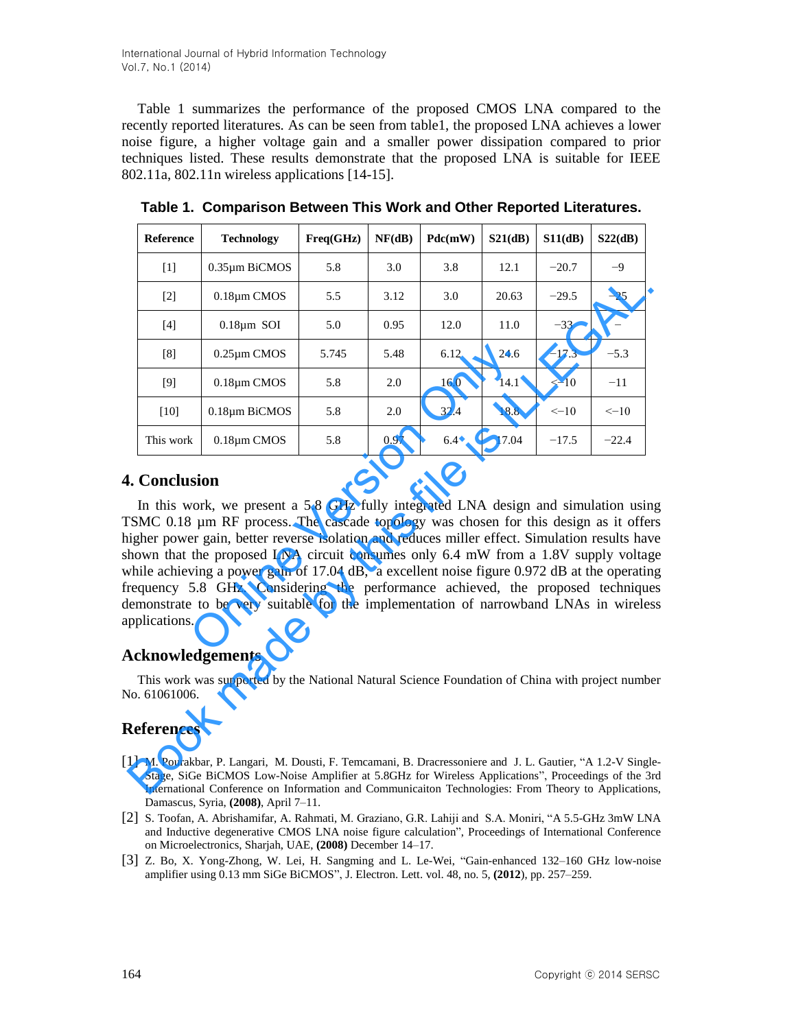International Journal of Hybrid Information Technology Vol.7, No.1 (2014)

Table 1 summarizes the performance of the proposed CMOS LNA compared to the recently reported literatures. As can be seen from table1, the proposed LNA achieves a lower noise figure, a higher voltage gain and a smaller power dissipation compared to prior techniques listed. These results demonstrate that the proposed LNA is suitable for IEEE 802.11a, 802.11n wireless applications [14-15].

|                                                                                                                                                                                                                                                                                                                                                                                                                                                                              | Reference                                                                                                                                                                                                                                                                                                              | <b>Technology</b> | Freq(GHz) | NF(dB) | Pdc(mW) | S21(dB) | S11(dB)   | S22(dB)           |  |
|------------------------------------------------------------------------------------------------------------------------------------------------------------------------------------------------------------------------------------------------------------------------------------------------------------------------------------------------------------------------------------------------------------------------------------------------------------------------------|------------------------------------------------------------------------------------------------------------------------------------------------------------------------------------------------------------------------------------------------------------------------------------------------------------------------|-------------------|-----------|--------|---------|---------|-----------|-------------------|--|
|                                                                                                                                                                                                                                                                                                                                                                                                                                                                              | $[1]$                                                                                                                                                                                                                                                                                                                  | 0.35µm BiCMOS     | 5.8       | 3.0    | 3.8     | 12.1    | $-20.7$   | $-9$              |  |
|                                                                                                                                                                                                                                                                                                                                                                                                                                                                              | $[2]$                                                                                                                                                                                                                                                                                                                  | 0.18µm CMOS       | 5.5       | 3.12   | 3.0     | 20.63   | $-29.5$   | $-25$             |  |
|                                                                                                                                                                                                                                                                                                                                                                                                                                                                              | $[4]$                                                                                                                                                                                                                                                                                                                  | $0.18 \mu m$ SOI  | 5.0       | 0.95   | 12.0    | 11.0    | $-33$     | $\qquad \qquad -$ |  |
|                                                                                                                                                                                                                                                                                                                                                                                                                                                                              | [8]                                                                                                                                                                                                                                                                                                                    | $0.25 \mu m$ CMOS | 5.745     | 5.48   | 6.12    | 24.6    | $-17.3$   | $-5.3$            |  |
|                                                                                                                                                                                                                                                                                                                                                                                                                                                                              | [9]                                                                                                                                                                                                                                                                                                                    | 0.18µm CMOS       | 5.8       | 2.0    | 16.0    | 14.1    | $<-10$    | $-11$             |  |
|                                                                                                                                                                                                                                                                                                                                                                                                                                                                              | $[10]$                                                                                                                                                                                                                                                                                                                 | 0.18µm BiCMOS     | 5.8       | 2.0    | 32.4    | 18.8    | $\le -10$ | $\leftarrow 10$   |  |
|                                                                                                                                                                                                                                                                                                                                                                                                                                                                              | This work                                                                                                                                                                                                                                                                                                              | $0.18 \mu m$ CMOS | 5.8       | 0.97   | 6.4     | 17.04   | $-17.5$   | $-22.4$           |  |
| ligher power gain, better reverse isolation and reduces miller effect. Simulation results have<br>hown that the proposed LNA circuit consumes only 6.4 mW from a 1.8V supply voltag<br>while achieving a power gain of 17.04 dB, a excellent noise figure 0.972 dB at the operatin<br>requency 5.8 GHz. Considering the performance achieved, the proposed technique<br>lemonstrate to be very suitable for the implementation of narrowband LNAs in wireles<br>pplications. |                                                                                                                                                                                                                                                                                                                        |                   |           |        |         |         |           |                   |  |
| <b>Acknowledgements</b>                                                                                                                                                                                                                                                                                                                                                                                                                                                      |                                                                                                                                                                                                                                                                                                                        |                   |           |        |         |         |           |                   |  |
| This work was supported by the National Natural Science Foundation of China with project number<br>$\sqrt{0.61061006}$ .                                                                                                                                                                                                                                                                                                                                                     |                                                                                                                                                                                                                                                                                                                        |                   |           |        |         |         |           |                   |  |
| References                                                                                                                                                                                                                                                                                                                                                                                                                                                                   |                                                                                                                                                                                                                                                                                                                        |                   |           |        |         |         |           |                   |  |
|                                                                                                                                                                                                                                                                                                                                                                                                                                                                              | 1] M. Pourakbar, P. Langari, M. Dousti, F. Temcamani, B. Dracressoniere and J. L. Gautier, "A 1.2-V Single<br>Stage, SiGe BiCMOS Low-Noise Amplifier at 5.8GHz for Wireless Applications", Proceedings of the 3r<br>International Conference on Information and Communicaiton Technologies: From Theory to Application |                   |           |        |         |         |           |                   |  |

**Table 1. Comparison Between This Work and Other Reported Literatures.** 

# **4. Conclusion**

# **Acknowledgements**

# **References**

- [1] M. Pourakbar, P. Langari, M. Dousti, F. Temcamani, B. Dracressoniere and J. L. Gautier, "A 1.2-V Single-Stage, SiGe BiCMOS Low-Noise Amplifier at 5.8GHz for Wireless Applications", Proceedings of the [3rd](http://ieeexplore.ieee.org/xpl/mostRecentIssue.jsp?punumber=4520396)  International Conference on Information and Communicaiton Technologies: From Theory to Applications, Damascus, Syria, **(2008)**, April 7–11.
- [2] S. Toofan, A. Abrishamifar, A. Rahmati, M. Graziano, G.R. Lahiji and S.A. Moniri, "A 5.5-GHz 3mW LNA and Inductive degenerative CMOS LNA noise figure calculation", Proceedings of International Conference on Microelectronics, Sharjah, UAE, **(2008)** December 14–17.
- [3] Z. Bo, X. Yong-Zhong, W. Lei, H. Sangming and L. Le-Wei, "Gain-enhanced 132–160 GHz low-noise amplifier using 0.13 mm SiGe BiCMOS", J. Electron. Lett. vol. 48, no. 5, **(2012**), pp. 257–259.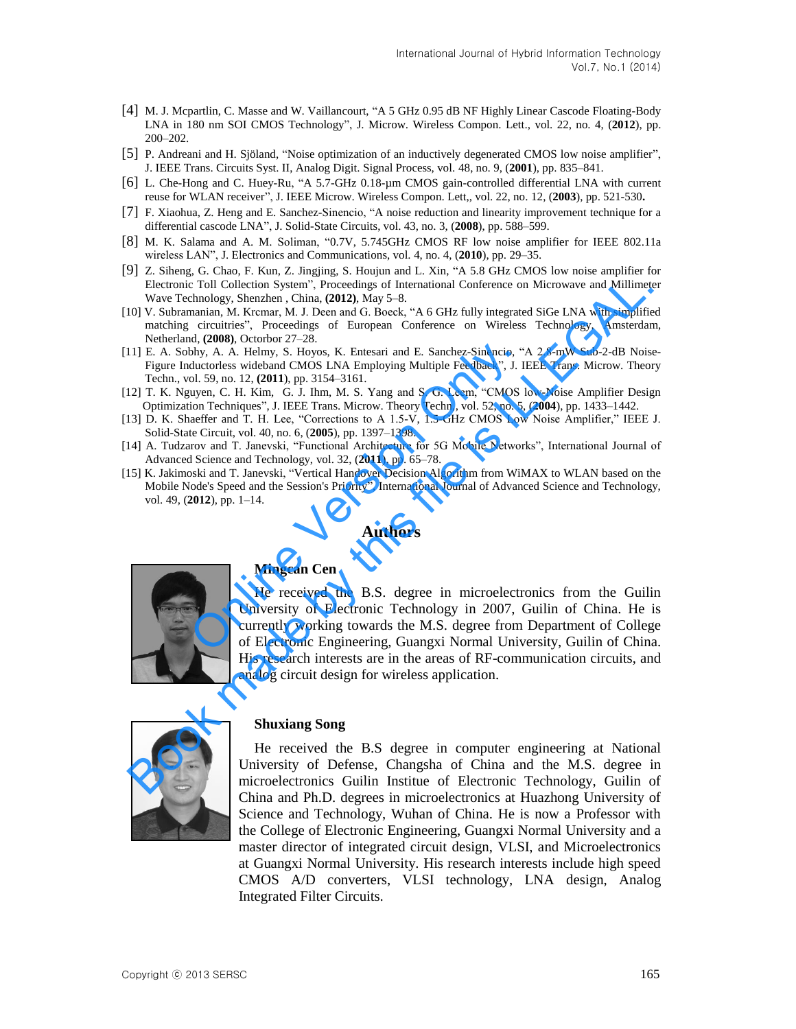- [4] M. J. Mcpartlin, C. Masse and W. Vaillancourt, "A 5 GHz 0.95 dB NF Highly Linear Cascode Floating-Body LNA in 180 nm SOI CMOS Technology", J. Microw. Wireless Compon. Lett., vol. 22, no. 4, (**2012**), pp. 200–202.
- [5] P. Andreani and H. Sjöland, "Noise optimization of an inductively degenerated CMOS low noise amplifier", J. IEEE Trans. Circuits Syst. II, Analog Digit. Signal Process, vol. 48, no. 9, (**2001**), pp. 835–841.
- [6] L. Che-Hong and C. Huey-Ru, "A 5.7-GHz 0.18-µm CMOS gain-controlled differential LNA with current reuse for WLAN receiver", J. IEEE Microw. Wireless Compon. Lett,, vol. 22, no. 12, (**2003**), pp. 521-530**.**
- [7] F. Xiaohua, Z. Heng and E. Sanchez-Sinencio, "A noise reduction and linearity improvement technique for a differential cascode LNA", J. Solid-State Circuits, vol. 43, no. 3, (**2008**), pp. 588–599.
- [8] M. K. Salama and A. M. Soliman, "0.7V, 5.745GHz CMOS RF low noise amplifier for IEEE 802.11a wireless LAN", J. Electronics and Communications, vol. 4, no. 4, (**2010**), pp. 29–35.
- [9] Z. Siheng, G. Chao, F. Kun, Z. Jingjing, S. Houjun and L. Xin, "A 5.8 GHz CMOS low noise amplifier for Electronic Toll Collection System", Proceedings of International Conference on Microwave and Millimeter Wave Technology, Shenzhen , China, **(2012)**, May 5–8.
- [10] V. Subramanian, M. Krcmar, M. J. Deen and G. Boeck, "A 6 GHz fully integrated SiGe LNA with simplified matching circuitries", Proceedings of European Conference on Wireless Technology, Amsterdam, Netherland, **(2008)**, Octorbor 27–28.
- [11] E. A. Sobhy, A. A. Helmy, S. Hoyos, K. Entesari and E. Sanchez-Sinencio, "A 2.8-mW Sub-2-dB Noise-Figure Inductorless wideband CMOS LNA Employing Multiple Feedback", J. IEEE Trans. Microw. Theory Techn., vol. 59, no. 12, **(2011**), pp. 3154–3161.
- [12] T. K. Nguyen, C. H. Kim, G. J. Ihm, M. S. Yang and S. G. Leem, "CMOS low-Noise Amplifier Design Optimization Techniques", J. IEEE Trans. Microw. Theory Techn,, vol. 52, no. 5, (**2004**), pp. 1433–1442.
- [13] D. K. Shaeffer and T. H. Lee, "Corrections to A 1.5-V, 1.5-GHz CMOS Low Noise Amplifier," IEEE J. Solid-State Circuit, vol. 40, no. 6, (**2005**), pp. 1397–1398.
- [14] A. Tudzarov and T. Janevski, "Functional Architecture for 5G Mobile Networks", International Journal of Advanced Science and Technology, vol. 32, (**2011**), pp. 65–78.
- [15] K. Jakimoski and T. Janevski, "Vertical Handover Decision Algorithm from WiMAX to WLAN based on the Mobile Node's Speed and the Session's Priority", International Journal of Advanced Science and Technology, vol. 49, (**2012**), pp. 1–14.

### **Authors**

analog circuit design for wireless application.



He received the B.S. degree in microelectronics from the Guilin University of Electronic Technology in 2007, Guilin of China. He is currently working towards the M.S. degree from Department of College of Electronic Engineering, Guangxi Normal University, Guilin of China. His research interests are in the areas of RF-communication circuits, and Mingcan Centary, Martin B.S. degree in microelectron (Surtenly, or Julian C. S. Helmy, S. Hoyos, K. Entesari and E. Sanchez-Sinencio, "<br>
ductorless wideband CMOS LNA Employing Multiple Feedback", J. Ilol. 59, no. 12, (2011 Flerenco Collection Systems, The meaning Conference on Microwave and Millimet<br>
Weve Technology, Shenzhen, China, (2012). May 5-8.<br>
10) V. Subturnamia, M. Kremant, O. Deen and G. Book, "A 6 GHz fully integrated SGC EIXA wit



#### **Shuxiang Song**

**Mingcan Cen**

He received the B.S degree in computer engineering at National University of Defense, Changsha of China and the M.S. degree in microelectronics Guilin Institue of Electronic Technology, Guilin of China and Ph.D. degrees in microelectronics at Huazhong University of Science and Technology, Wuhan of China. He is now a Professor with the College of Electronic Engineering, Guangxi Normal University and a master director of integrated circuit design, VLSI, and Microelectronics at Guangxi Normal University. His research interests include high speed CMOS A/D converters, VLSI technology, LNA design, Analog Integrated Filter Circuits.